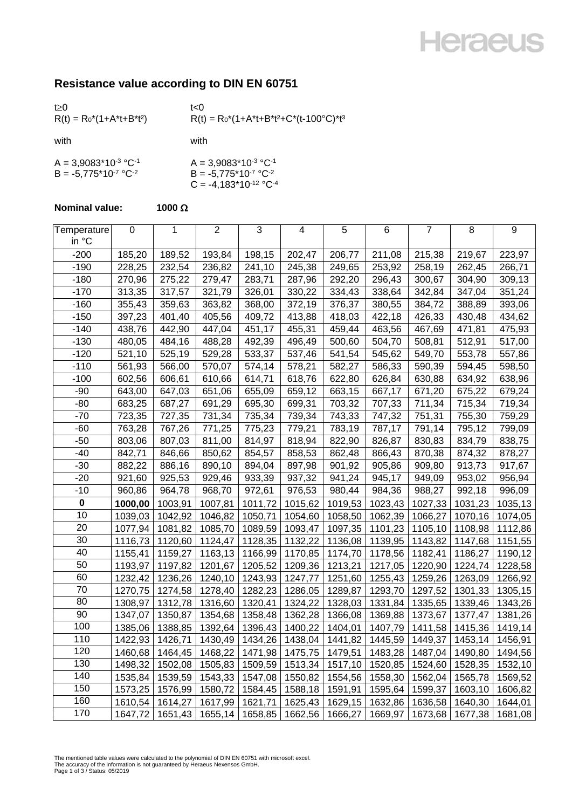### **Heraeus**

### **Resistance value according to DIN EN 60751**

| t > 0<br>$R(t) = R_0^*(1+A^*t+B^*t^2)$                 | t<0<br>$R(t) = R_0^*(1 + A^*t + B^*t^2 + C^*(t - 100^{\circ}C)^*t^3)$             |
|--------------------------------------------------------|-----------------------------------------------------------------------------------|
| with                                                   | with                                                                              |
| $A = 3,9083*10-3 °C-1$<br>$B = -5.775*10^{-7} °C^{-2}$ | $A = 3,9083*10-3 °C-1$<br>$B = -5,775*10^{-7} °C^{-2}$<br>$C = -4,183*10-12 °C-4$ |

#### **Nominal value: 1000**  $\Omega$

| Temperature<br>in °C | $\pmb{0}$ | 1       | $\overline{2}$ | 3       | 4       | 5       | 6       | $\overline{7}$ | 8       | $\boldsymbol{9}$ |
|----------------------|-----------|---------|----------------|---------|---------|---------|---------|----------------|---------|------------------|
| $-200$               | 185,20    | 189,52  | 193,84         | 198,15  | 202,47  | 206,77  | 211,08  | 215,38         | 219,67  | 223,97           |
| $-190$               | 228,25    | 232,54  | 236,82         | 241,10  | 245,38  | 249,65  | 253,92  | 258,19         | 262,45  | 266,71           |
| $-180$               | 270,96    | 275,22  | 279,47         | 283,71  | 287,96  | 292,20  | 296,43  | 300,67         | 304,90  | 309,13           |
| $-170$               | 313,35    | 317,57  | 321,79         | 326,01  | 330,22  | 334,43  | 338,64  | 342,84         | 347,04  | 351,24           |
| $-160$               | 355,43    | 359,63  | 363,82         | 368,00  | 372,19  | 376,37  | 380,55  | 384,72         | 388,89  | 393,06           |
| $-150$               | 397,23    | 401,40  | 405,56         | 409,72  | 413,88  | 418,03  | 422,18  | 426,33         | 430,48  | 434,62           |
| $-140$               | 438,76    | 442,90  | 447,04         | 451,17  | 455,31  | 459,44  | 463,56  | 467,69         | 471,81  | 475,93           |
| $-130$               | 480,05    | 484,16  | 488,28         | 492,39  | 496,49  | 500,60  | 504,70  | 508,81         | 512,91  | 517,00           |
| $-120$               | 521,10    | 525,19  | 529,28         | 533,37  | 537,46  | 541,54  | 545,62  | 549,70         | 553,78  | 557,86           |
| $-110$               | 561,93    | 566,00  | 570,07         | 574,14  | 578,21  | 582,27  | 586,33  | 590,39         | 594,45  | 598,50           |
| $-100$               | 602,56    | 606,61  | 610,66         | 614,71  | 618,76  | 622,80  | 626,84  | 630,88         | 634,92  | 638,96           |
| $-90$                | 643,00    | 647,03  | 651,06         | 655,09  | 659,12  | 663,15  | 667,17  | 671,20         | 675,22  | 679,24           |
| $-80$                | 683,25    | 687,27  | 691,29         | 695,30  | 699,31  | 703,32  | 707,33  | 711,34         | 715,34  | 719,34           |
| $-70$                | 723,35    | 727,35  | 731,34         | 735,34  | 739,34  | 743,33  | 747,32  | 751,31         | 755,30  | 759,29           |
| $-60$                | 763,28    | 767,26  | 771,25         | 775,23  | 779,21  | 783,19  | 787,17  | 791,14         | 795,12  | 799,09           |
| $-50$                | 803,06    | 807,03  | 811,00         | 814,97  | 818,94  | 822,90  | 826,87  | 830,83         | 834,79  | 838,75           |
| $-40$                | 842,71    | 846,66  | 850,62         | 854,57  | 858,53  | 862,48  | 866,43  | 870,38         | 874,32  | 878,27           |
| $-30$                | 882,22    | 886,16  | 890,10         | 894,04  | 897,98  | 901,92  | 905,86  | 909,80         | 913,73  | 917,67           |
| $-20$                | 921,60    | 925,53  | 929,46         | 933,39  | 937,32  | 941,24  | 945,17  | 949,09         | 953,02  | 956,94           |
| $-10$                | 960,86    | 964,78  | 968,70         | 972,61  | 976,53  | 980,44  | 984,36  | 988,27         | 992,18  | 996,09           |
| $\pmb{0}$            | 1000,00   | 1003,91 | 1007,81        | 1011,72 | 1015,62 | 1019,53 | 1023,43 | 1027,33        | 1031,23 | 1035,13          |
| 10                   | 1039,03   | 1042,92 | 1046,82        | 1050,71 | 1054,60 | 1058,50 | 1062,39 | 1066,27        | 1070,16 | 1074,05          |
| 20                   | 1077,94   | 1081,82 | 1085,70        | 1089,59 | 1093,47 | 1097,35 | 1101,23 | 1105,10        | 1108,98 | 1112,86          |
| 30                   | 1116,73   | 1120,60 | 1124,47        | 1128,35 | 1132,22 | 1136,08 | 1139,95 | 1143,82        | 1147,68 | 1151,55          |
| 40                   | 1155,41   | 1159,27 | 1163,13        | 1166,99 | 1170,85 | 1174,70 | 1178,56 | 1182,41        | 1186,27 | 1190,12          |
| 50                   | 1193,97   | 1197,82 | 1201,67        | 1205,52 | 1209,36 | 1213,21 | 1217,05 | 1220,90        | 1224,74 | 1228,58          |
| 60                   | 1232,42   | 1236,26 | 1240,10        | 1243,93 | 1247,77 | 1251,60 | 1255,43 | 1259,26        | 1263,09 | 1266,92          |
| 70                   | 1270,75   | 1274,58 | 1278,40        | 1282,23 | 1286,05 | 1289,87 | 1293,70 | 1297,52        | 1301,33 | 1305,15          |
| 80                   | 1308,97   | 1312,78 | 1316,60        | 1320,41 | 1324,22 | 1328,03 | 1331,84 | 1335,65        | 1339,46 | 1343,26          |
| 90                   | 1347,07   | 1350,87 | 1354,68        | 1358,48 | 1362,28 | 1366,08 | 1369,88 | 1373,67        | 1377,47 | 1381,26          |
| 100                  | 1385,06   | 1388,85 | 1392,64        | 1396,43 | 1400,22 | 1404,01 | 1407,79 | 1411,58        | 1415,36 | 1419,14          |
| 110                  | 1422,93   | 1426,71 | 1430,49        | 1434,26 | 1438,04 | 1441,82 | 1445,59 | 1449,37        | 1453,14 | 1456,91          |
| 120                  | 1460,68   | 1464,45 | 1468,22        | 1471,98 | 1475,75 | 1479,51 | 1483,28 | 1487,04        | 1490,80 | 1494,56          |
| 130                  | 1498,32   | 1502,08 | 1505,83        | 1509,59 | 1513,34 | 1517,10 | 1520,85 | 1524,60        | 1528,35 | 1532,10          |
| 140                  | 1535,84   | 1539,59 | 1543,33        | 1547,08 | 1550,82 | 1554,56 | 1558,30 | 1562,04        | 1565,78 | 1569,52          |
| 150                  | 1573,25   | 1576,99 | 1580,72        | 1584,45 | 1588,18 | 1591,91 | 1595,64 | 1599,37        | 1603,10 | 1606,82          |
| 160                  | 1610,54   | 1614,27 | 1617,99        | 1621,71 | 1625,43 | 1629,15 | 1632,86 | 1636,58        | 1640,30 | 1644,01          |
| 170                  | 1647,72   | 1651,43 | 1655,14        | 1658,85 | 1662,56 | 1666,27 | 1669,97 | 1673,68        | 1677,38 | 1681,08          |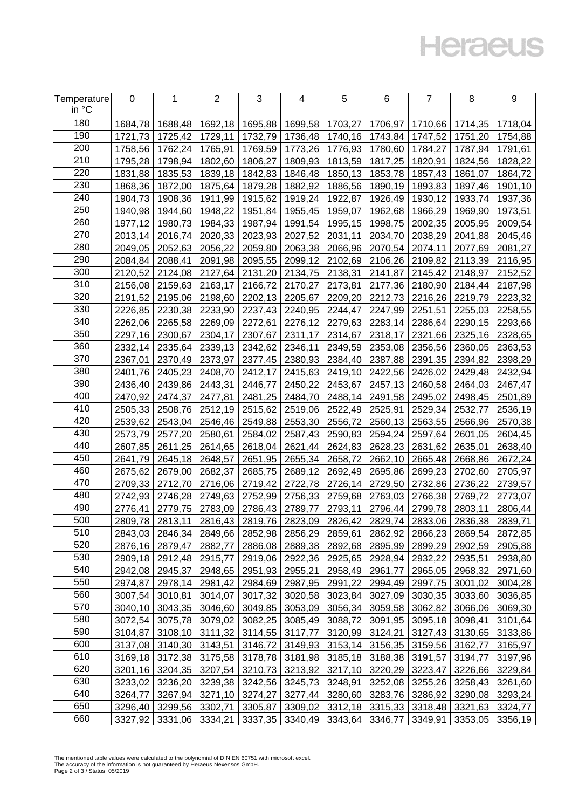## **Heraeus**

| Temperature<br>in °C | 0       | 1                 | $\overline{2}$ | 3               | 4                                               | 5                       | 6                       | 7       | 8                 | 9       |
|----------------------|---------|-------------------|----------------|-----------------|-------------------------------------------------|-------------------------|-------------------------|---------|-------------------|---------|
|                      |         |                   |                |                 |                                                 |                         |                         |         |                   |         |
| 180                  | 1684,78 | 1688,48           | 1692,18        | 1695,88         | 1699,58                                         | 1703,27                 | 1706,97                 | 1710,66 | 1714,35           | 1718,04 |
| 190                  | 1721,73 | 1725,42           | 1729,11        | 1732,79         | 1736,48                                         | 1740,16                 | 1743,84                 | 1747,52 | 1751,20           | 1754,88 |
| 200                  | 1758,56 | 1762,24           | 1765,91        | 1769,59         | 1773,26                                         | 1776,93                 | 1780,60                 | 1784,27 | 1787,94           | 1791,61 |
| 210                  | 1795,28 | 1798,94           | 1802,60        | 1806,27         | 1809,93                                         | 1813,59                 | 1817,25                 | 1820,91 | 1824,56           | 1828,22 |
| 220                  | 1831,88 | 1835,53           | 1839,18        | 1842,83         | 1846,48                                         | 1850,13                 | 1853,78                 | 1857,43 | 1861,07           | 1864,72 |
| 230                  | 1868,36 | 1872,00           | 1875,64        | 1879,28         | 1882,92                                         | 1886,56                 | 1890,19                 | 1893,83 | 1897,46           | 1901,10 |
| 240                  | 1904,73 | 1908,36           | 1911,99        | 1915,62         | 1919,24                                         | 1922,87                 | 1926,49                 | 1930,12 | 1933,74           | 1937,36 |
| 250                  | 1940,98 | 1944,60           | 1948,22        | 1951,84         | 1955,45                                         | 1959,07                 | 1962,68                 | 1966,29 | 1969,90           | 1973,51 |
| 260                  | 1977,12 | 1980,73           | 1984,33        | 1987,94         | 1991,54                                         | 1995,15                 | 1998,75                 | 2002,35 | 2005,95           | 2009,54 |
| 270                  | 2013,14 | 2016,74           | 2020,33        | 2023,93         | 2027,52                                         | 2031,11                 | 2034,70                 | 2038,29 | 2041,88           | 2045,46 |
| 280                  | 2049,05 | 2052,63           | 2056,22        | 2059,80         | 2063,38                                         | 2066,96                 | 2070,54                 | 2074,11 | 2077,69           | 2081,27 |
| 290                  | 2084,84 | 2088,41           | 2091,98        | 2095,55         | 2099,12                                         | 2102,69                 | 2106,26                 | 2109,82 | 2113,39           | 2116,95 |
| 300                  | 2120,52 | 2124,08           | 2127,64        | 2131,20         | 2134,75                                         | 2138,31                 | 2141,87                 | 2145,42 | 2148,97           | 2152,52 |
| 310                  | 2156,08 | 2159,63           | 2163,17        | 2166,72         | 2170,27                                         | 2173,81                 | 2177,36                 | 2180,90 | 2184,44           | 2187,98 |
| 320                  | 2191,52 | 2195,06           | 2198,60        | 2202,13         | 2205,67                                         | 2209,20                 | 2212,73                 | 2216,26 | 2219,79           | 2223,32 |
| 330                  | 2226,85 | 2230,38           | 2233,90        | 2237,43         |                                                 | 2240,95 2244,47         | 2247,99                 | 2251,51 | 2255,03           | 2258,55 |
| 340                  | 2262,06 | 2265,58           | 2269,09        | 2272,61         |                                                 | 2276,12 2279,63         | 2283,14                 | 2286,64 | 2290,15           | 2293,66 |
| 350                  | 2297,16 | 2300,67           | 2304,17        | 2307,67         | 2311,17                                         | 2314,67                 | 2318,17                 | 2321,66 | 2325,16           | 2328,65 |
| 360                  | 2332,14 | 2335,64           | 2339,13        | 2342,62         | 2346,11                                         | 2349,59                 | 2353,08                 | 2356,56 | 2360,05           | 2363,53 |
| 370                  | 2367,01 | 2370,49           | 2373,97        | 2377,45         | 2380,93                                         | 2384,40                 | 2387,88                 | 2391,35 | 2394,82           | 2398,29 |
| 380                  | 2401,76 | 2405,23           | 2408,70        | 2412,17         | 2415,63                                         | 2419,10                 | 2422,56                 | 2426,02 | 2429,48           | 2432,94 |
| 390                  | 2436,40 | 2439,86           | 2443,31        | 2446,77         | 2450,22                                         | 2453,67                 | 2457,13                 | 2460,58 | 2464,03           | 2467,47 |
| 400                  | 2470,92 | 2474,37           | 2477,81        | 2481,25         | 2484,70                                         | 2488,14                 | 2491,58                 | 2495,02 | 2498,45           | 2501,89 |
| 410                  | 2505,33 | 2508,76           | 2512,19        | 2515,62         | 2519,06                                         | 2522,49                 | 2525,91                 | 2529,34 | 2532,77           | 2536,19 |
| 420                  | 2539,62 | 2543,04           | 2546,46        | 2549,88         | 2553,30                                         | 2556,72                 | 2560,13                 | 2563,55 | 2566,96           | 2570,38 |
| 430                  | 2573,79 | 2577,20           | 2580,61        | 2584,02         | 2587,43                                         | 2590,83                 | 2594,24                 | 2597,64 | 2601,05           | 2604,45 |
| 440                  | 2607,85 | 2611,25           | 2614,65        | 2618,04         | 2621,44                                         | 2624,83                 | 2628,23                 | 2631,62 | 2635,01           | 2638,40 |
| 450                  | 2641,79 | 2645,18           | 2648,57        | 2651,95         | 2655,34                                         | 2658,72                 | 2662,10                 | 2665,48 | 2668,86           | 2672,24 |
| 460                  | 2675,62 | 2679,00           | 2682,37        | 2685,75         | 2689,12                                         | 2692,49                 | 2695,86                 | 2699,23 | 2702,60           | 2705,97 |
| 470                  | 2709,33 | 2712,70           | 2716,06        | 2719,42         | 2722,78                                         | 2726,14                 | 2729,50                 | 2732,86 | 2736,22           | 2739,57 |
| 480                  | 2742,93 | 2746,28           | 2749,63        | 2752,99         | 2756,33                                         | 2759,68                 | 2763,03                 | 2766,38 | 2769,72           | 2773,07 |
| 490                  | 2776,41 | 2779,75           | 2783,09        | 2786,43         | 2789,77                                         | 2793,11                 | 2796,44                 | 2799,78 | 2803,11           | 2806,44 |
| 500                  | 2809,78 | 2813,11           |                |                 | 2816,43   2819,76   2823,09   2826,42   2829,74 |                         |                         | 2833,06 | 2836,38           | 2839,71 |
| 510                  |         | 2843,03   2846,34 | 2849,66        |                 | 2852,98 2856,29 2859,61                         |                         | 2862,92                 |         | 2866,23   2869,54 | 2872,85 |
| 520                  | 2876,16 | 2879,47           | 2882,77        | 2886,08         |                                                 | 2889,38 2892,68         | 2895,99                 | 2899,29 | 2902,59           | 2905,88 |
| 530                  | 2909,18 | 2912,48           | 2915,77        | 2919,06         |                                                 | 2922,36 2925,65         | 2928,94                 | 2932,22 | 2935,51           | 2938,80 |
| 540                  | 2942,08 | 2945,37           | 2948,65        | 2951,93         |                                                 | 2955,21 2958,49         | 2961,77                 | 2965,05 | 2968,32           | 2971,60 |
| 550                  | 2974,87 | 2978,14           | 2981,42        | 2984,69         |                                                 | 2987,95 2991,22         | 2994,49                 | 2997,75 | 3001,02           | 3004,28 |
| 560                  | 3007,54 | 3010,81           | 3014,07        | 3017,32         |                                                 | 3020,58 3023,84         | 3027,09                 | 3030,35 | 3033,60           | 3036,85 |
| 570                  | 3040,10 | 3043,35           | 3046,60        | 3049,85         |                                                 | 3053,09 3056,34         | 3059,58                 | 3062,82 | 3066,06           | 3069,30 |
| 580                  | 3072,54 | 3075,78           | 3079,02        | 3082,25         |                                                 | 3085,49 3088,72         | 3091,95                 | 3095,18 | 3098,41           | 3101,64 |
| 590                  | 3104,87 | 3108,10           | 3111,32        | 3114,55         |                                                 | 3117,77 3120,99         | 3124,21                 | 3127,43 | 3130,65           | 3133,86 |
| 600                  | 3137,08 | 3140,30           | 3143,51        | 3146,72         |                                                 | 3149,93 3153,14         | 3156,35                 | 3159,56 | 3162,77           | 3165,97 |
| 610                  | 3169,18 | 3172,38           |                | 3175,58 3178,78 |                                                 | 3181,98 3185,18         | 3188,38                 | 3191,57 | 3194,77           | 3197,96 |
| 620                  | 3201,16 | 3204,35           |                | 3207,54 3210,73 |                                                 | 3213,92 3217,10         | 3220,29                 | 3223,47 | 3226,66           | 3229,84 |
| 630                  | 3233,02 | 3236,20           | 3239,38        | 3242,56         |                                                 | 3245,73 3248,91         | 3252,08                 | 3255,26 | 3258,43           | 3261,60 |
| 640                  | 3264,77 | 3267,94           | 3271,10        | 3274,27         |                                                 | 3277,44 3280,60         | 3283,76                 | 3286,92 | 3290,08           | 3293,24 |
| 650                  | 3296,40 | 3299,56           | 3302,71        | 3305,87         |                                                 |                         | 3309,02 3312,18 3315,33 | 3318,48 | 3321,63           | 3324,77 |
| 660                  | 3327,92 | 3331,06           | 3334,21        | 3337,35         |                                                 | 3340,49 3343,64 3346,77 |                         | 3349,91 | 3353,05           | 3356,19 |

The mentioned table values were calculated to the polynomial of DIN EN 60751 with microsoft excel. The accuracy of the information is not guaranteed by Heraeus Nexensos GmbH. Page 2 of 3 / Status: 05/2019